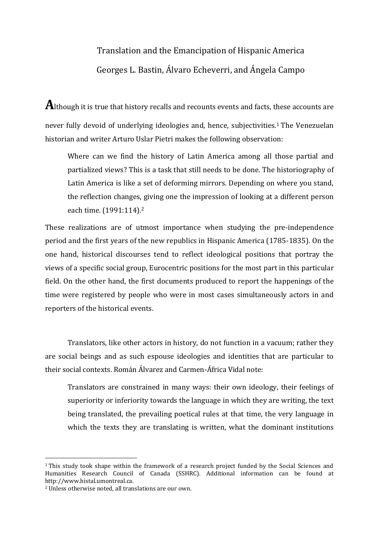# Translation and the Emancipation of Hispanic America Georges L. Bastin, Álvaro Echeverri, and Ángela Campo

**A**lthough it is true that history recalls and recounts events and facts, these accounts are never fully devoid of underlying ideologies and, hence, subjectivities.<sup>1</sup> The Venezuelan historian and writer Arturo Uslar Pietri makes the following observation:

Where can we find the history of Latin America among all those partial and partialized views? This is a task that still needs to be done. The historiography of Latin America is like a set of deforming mirrors. Depending on where you stand, the reflection changes, giving one the impression of looking at a different person each time. (1991:114).<sup>2</sup>

These realizations are of utmost importance when studying the pre-independence period and the first years of the new republics in Hispanic America (1785-1835). On the one hand, historical discourses tend to reflect ideological positions that portray the views of a specific social group, Eurocentric positions for the most part in this particular field. On the other hand, the first documents produced to report the happenings of the time were registered by people who were in most cases simultaneously actors in and reporters of the historical events.

Translators, like other actors in history, do not function in a vacuum; rather they are social beings and as such espouse ideologies and identities that are particular to their social contexts. Román Álvarez and Carmen-África Vidal note:

Translators are constrained in many ways: their own ideology, their feelings of superiority or inferiority towards the language in which they are writing, the text being translated, the prevailing poetical rules at that time, the very language in which the texts they are translating is written, what the dominant institutions

<sup>1</sup> This study took shape within the framework of a research project funded by the Social Sciences and Humanities Research Council of Canada (SSHRC). Additional information can be found at http://www.histal.umontreal.ca.

<sup>2</sup> Unless otherwise noted, all translations are our own.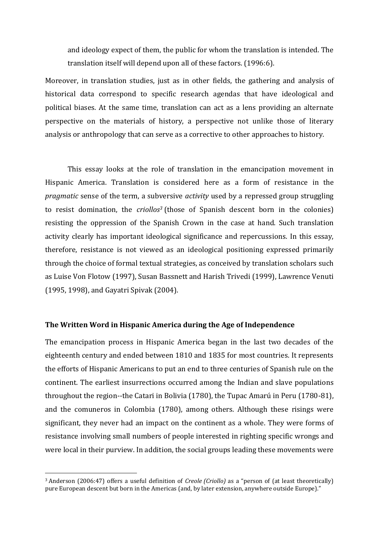and ideology expect of them, the public for whom the translation is intended. The translation itself will depend upon all of these factors. (1996:6).

Moreover, in translation studies, just as in other fields, the gathering and analysis of historical data correspond to specific research agendas that have ideological and political biases. At the same time, translation can act as a lens providing an alternate perspective on the materials of history, a perspective not unlike those of literary analysis or anthropology that can serve as a corrective to other approaches to history.

This essay looks at the role of translation in the emancipation movement in Hispanic America. Translation is considered here as a form of resistance in the *pragmatic* sense of the term, a subversive *activity* used by a repressed group struggling to resist domination, the *criollos<sup>3</sup>* (those of Spanish descent born in the colonies) resisting the oppression of the Spanish Crown in the case at hand. Such translation activity clearly has important ideological significance and repercussions. In this essay, therefore, resistance is not viewed as an ideological positioning expressed primarily through the choice of formal textual strategies, as conceived by translation scholars such as Luise Von Flotow (1997), Susan Bassnett and Harish Trivedi (1999), Lawrence Venuti (1995, 1998), and Gayatri Spivak (2004).

## **The Written Word in Hispanic America during the Age of Independence**

The emancipation process in Hispanic America began in the last two decades of the eighteenth century and ended between 1810 and 1835 for most countries. It represents the efforts of Hispanic Americans to put an end to three centuries of Spanish rule on the continent. The earliest insurrections occurred among the Indian and slave populations throughout the region--the Catari in Bolivia (1780), the Tupac Amarú in Peru (1780-81), and the comuneros in Colombia (1780), among others. Although these risings were significant, they never had an impact on the continent as a whole. They were forms of resistance involving small numbers of people interested in righting specific wrongs and were local in their purview. In addition, the social groups leading these movements were

<sup>3</sup> Anderson (2006:47) offers a useful definition of *Creole (Criollo)* as a "person of (at least theoretically) pure European descent but born in the Americas (and, by later extension, anywhere outside Europe)."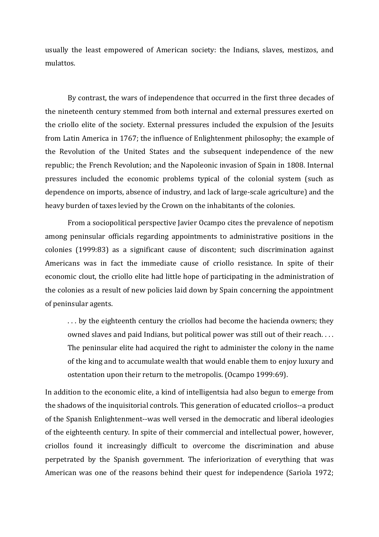usually the least empowered of American society: the Indians, slaves, mestizos, and mulattos.

By contrast, the wars of independence that occurred in the first three decades of the nineteenth century stemmed from both internal and external pressures exerted on the criollo elite of the society. External pressures included the expulsion of the Jesuits from Latin America in 1767; the influence of Enlightenment philosophy; the example of the Revolution of the United States and the subsequent independence of the new republic; the French Revolution; and the Napoleonic invasion of Spain in 1808. Internal pressures included the economic problems typical of the colonial system (such as dependence on imports, absence of industry, and lack of large-scale agriculture) and the heavy burden of taxes levied by the Crown on the inhabitants of the colonies.

From a sociopolitical perspective Javier Ocampo cites the prevalence of nepotism among peninsular officials regarding appointments to administrative positions in the colonies (1999:83) as a significant cause of discontent; such discrimination against Americans was in fact the immediate cause of criollo resistance. In spite of their economic clout, the criollo elite had little hope of participating in the administration of the colonies as a result of new policies laid down by Spain concerning the appointment of peninsular agents.

... by the eighteenth century the criollos had become the hacienda owners; they owned slaves and paid Indians, but political power was still out of their reach. . . . The peninsular elite had acquired the right to administer the colony in the name of the king and to accumulate wealth that would enable them to enjoy luxury and ostentation upon their return to the metropolis. (Ocampo 1999:69).

In addition to the economic elite, a kind of intelligentsia had also begun to emerge from the shadows of the inquisitorial controls. This generation of educated criollos--a product of the Spanish Enlightenment--was well versed in the democratic and liberal ideologies of the eighteenth century. In spite of their commercial and intellectual power, however, criollos found it increasingly difficult to overcome the discrimination and abuse perpetrated by the Spanish government. The inferiorization of everything that was American was one of the reasons behind their quest for independence (Sariola 1972;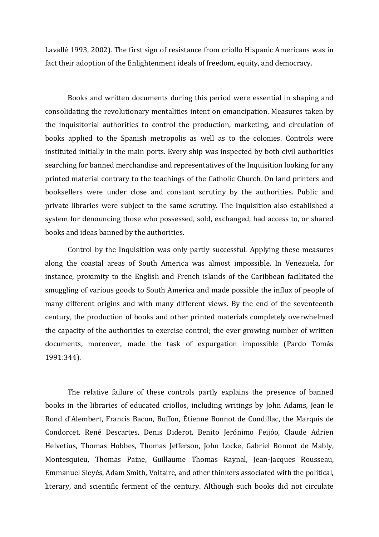Lavallé 1993, 2002). The first sign of resistance from criollo Hispanic Americans was in fact their adoption of the Enlightenment ideals of freedom, equity, and democracy.

Books and written documents during this period were essential in shaping and consolidating the revolutionary mentalities intent on emancipation. Measures taken by the inquisitorial authorities to control the production, marketing, and circulation of books applied to the Spanish metropolis as well as to the colonies. Controls were instituted initially in the main ports. Every ship was inspected by both civil authorities searching for banned merchandise and representatives of the Inquisition looking for any printed material contrary to the teachings of the Catholic Church. On land printers and booksellers were under close and constant scrutiny by the authorities. Public and private libraries were subject to the same scrutiny. The Inquisition also established a system for denouncing those who possessed, sold, exchanged, had access to, or shared books and ideas banned by the authorities.

Control by the Inquisition was only partly successful. Applying these measures along the coastal areas of South America was almost impossible. In Venezuela, for instance, proximity to the English and French islands of the Caribbean facilitated the smuggling of various goods to South America and made possible the influx of people of many different origins and with many different views. By the end of the seventeenth century, the production of books and other printed materials completely overwhelmed the capacity of the authorities to exercise control; the ever growing number of written documents, moreover, made the task of expurgation impossible (Pardo Tomás 1991:344).

The relative failure of these controls partly explains the presence of banned books in the libraries of educated criollos, including writings by John Adams, Jean le Rond d'Alembert, Francis Bacon, Buffon, Étienne Bonnot de Condillac, the Marquis de Condorcet, René Descartes, Denis Diderot, Benito Jerónimo Feijóo, Claude Adrien Helvetius, Thomas Hobbes, Thomas Jefferson, John Locke, Gabriel Bonnot de Mably, Montesquieu, Thomas Paine, Guillaume Thomas Raynal, Jean-Jacques Rousseau, Emmanuel Sieyés, Adam Smith, Voltaire, and other thinkers associated with the political, literary, and scientific ferment of the century. Although such books did not circulate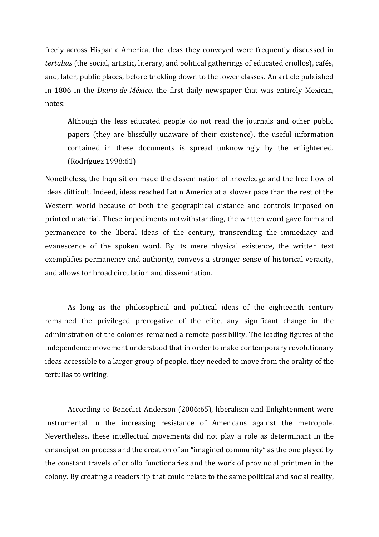freely across Hispanic America, the ideas they conveyed were frequently discussed in *tertulias* (the social, artistic, literary, and political gatherings of educated criollos), cafés, and, later, public places, before trickling down to the lower classes. An article published in 1806 in the *Diario de México*, the first daily newspaper that was entirely Mexican, notes:

Although the less educated people do not read the journals and other public papers (they are blissfully unaware of their existence), the useful information contained in these documents is spread unknowingly by the enlightened. (Rodríguez 1998:61)

Nonetheless, the Inquisition made the dissemination of knowledge and the free flow of ideas difficult. Indeed, ideas reached Latin America at a slower pace than the rest of the Western world because of both the geographical distance and controls imposed on printed material. These impediments notwithstanding, the written word gave form and permanence to the liberal ideas of the century, transcending the immediacy and evanescence of the spoken word. By its mere physical existence, the written text exemplifies permanency and authority, conveys a stronger sense of historical veracity, and allows for broad circulation and dissemination.

As long as the philosophical and political ideas of the eighteenth century remained the privileged prerogative of the elite, any significant change in the administration of the colonies remained a remote possibility. The leading figures of the independence movement understood that in order to make contemporary revolutionary ideas accessible to a larger group of people, they needed to move from the orality of the tertulias to writing.

According to Benedict Anderson (2006:65), liberalism and Enlightenment were instrumental in the increasing resistance of Americans against the metropole. Nevertheless, these intellectual movements did not play a role as determinant in the emancipation process and the creation of an "imagined community" as the one played by the constant travels of criollo functionaries and the work of provincial printmen in the colony. By creating a readership that could relate to the same political and social reality,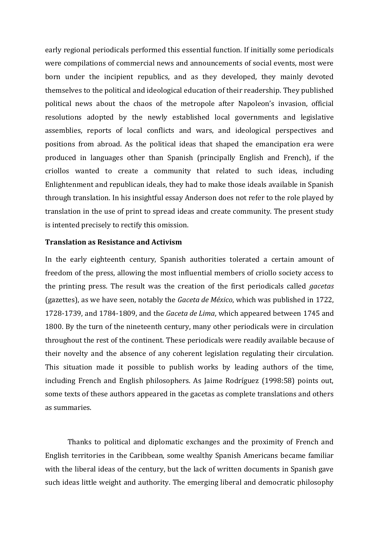early regional periodicals performed this essential function. If initially some periodicals were compilations of commercial news and announcements of social events, most were born under the incipient republics, and as they developed, they mainly devoted themselves to the political and ideological education of their readership. They published political news about the chaos of the metropole after Napoleon's invasion, official resolutions adopted by the newly established local governments and legislative assemblies, reports of local conflicts and wars, and ideological perspectives and positions from abroad. As the political ideas that shaped the emancipation era were produced in languages other than Spanish (principally English and French), if the criollos wanted to create a community that related to such ideas, including Enlightenment and republican ideals, they had to make those ideals available in Spanish through translation. In his insightful essay Anderson does not refer to the role played by translation in the use of print to spread ideas and create community. The present study is intented precisely to rectify this omission.

#### **Translation as Resistance and Activism**

In the early eighteenth century, Spanish authorities tolerated a certain amount of freedom of the press, allowing the most influential members of criollo society access to the printing press. The result was the creation of the first periodicals called *gacetas* (gazettes), as we have seen, notably the *Gaceta de México*, which was published in 1722, 1728-1739, and 1784-1809, and the *Gaceta de Lima*, which appeared between 1745 and 1800. By the turn of the nineteenth century, many other periodicals were in circulation throughout the rest of the continent. These periodicals were readily available because of their novelty and the absence of any coherent legislation regulating their circulation. This situation made it possible to publish works by leading authors of the time, including French and English philosophers. As Jaime Rodríguez (1998:58) points out, some texts of these authors appeared in the gacetas as complete translations and others as summaries.

Thanks to political and diplomatic exchanges and the proximity of French and English territories in the Caribbean, some wealthy Spanish Americans became familiar with the liberal ideas of the century, but the lack of written documents in Spanish gave such ideas little weight and authority. The emerging liberal and democratic philosophy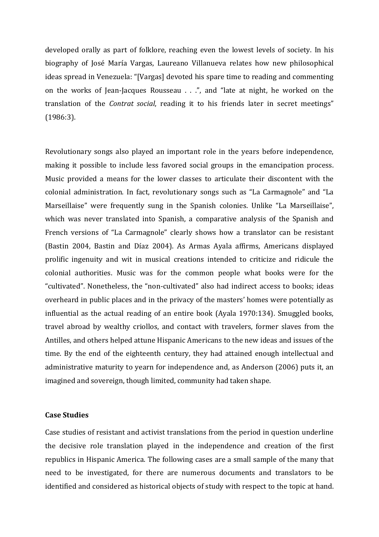developed orally as part of folklore, reaching even the lowest levels of society. In his biography of José María Vargas, Laureano Villanueva relates how new philosophical ideas spread in Venezuela: "[Vargas] devoted his spare time to reading and commenting on the works of Jean-Jacques Rousseau . . .", and "late at night, he worked on the translation of the *Contrat social*, reading it to his friends later in secret meetings" (1986:3).

Revolutionary songs also played an important role in the years before independence, making it possible to include less favored social groups in the emancipation process. Music provided a means for the lower classes to articulate their discontent with the colonial administration. In fact, revolutionary songs such as "La Carmagnole" and "La Marseillaise" were frequently sung in the Spanish colonies. Unlike "La Marseillaise", which was never translated into Spanish, a comparative analysis of the Spanish and French versions of "La Carmagnole" clearly shows how a translator can be resistant (Bastin 2004, Bastin and Díaz 2004). As Armas Ayala affirms, Americans displayed prolific ingenuity and wit in musical creations intended to criticize and ridicule the colonial authorities. Music was for the common people what books were for the "cultivated". Nonetheless, the "non-cultivated" also had indirect access to books; ideas overheard in public places and in the privacy of the masters' homes were potentially as influential as the actual reading of an entire book (Ayala 1970:134). Smuggled books, travel abroad by wealthy criollos, and contact with travelers, former slaves from the Antilles, and others helped attune Hispanic Americans to the new ideas and issues of the time. By the end of the eighteenth century, they had attained enough intellectual and administrative maturity to yearn for independence and, as Anderson (2006) puts it, an imagined and sovereign, though limited, community had taken shape.

## **Case Studies**

Case studies of resistant and activist translations from the period in question underline the decisive role translation played in the independence and creation of the first republics in Hispanic America. The following cases are a small sample of the many that need to be investigated, for there are numerous documents and translators to be identified and considered as historical objects of study with respect to the topic at hand.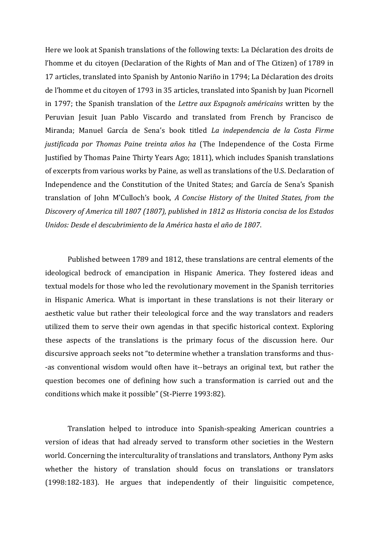Here we look at Spanish translations of the following texts: La Déclaration des droits de l'homme et du citoyen (Declaration of the Rights of Man and of The Citizen) of 1789 in 17 articles, translated into Spanish by Antonio Nariño in 1794; La Déclaration des droits de l'homme et du citoyen of 1793 in 35 articles, translated into Spanish by Juan Picornell in 1797; the Spanish translation of the *Lettre aux Espagnols américains* written by the Peruvian Jesuit Juan Pablo Viscardo and translated from French by Francisco de Miranda; Manuel García de Sena's book titled *La independencia de la Costa Firme justificada por Thomas Paine treinta años ha* (The Independence of the Costa Firme Justified by Thomas Paine Thirty Years Ago; 1811), which includes Spanish translations of excerpts from various works by Paine, as well as translations of the U.S. Declaration of Independence and the Constitution of the United States; and García de Sena's Spanish translation of John M'Culloch's book, *A Concise History of the United States, from the Discovery of America till 1807 (1807), published in 1812 as Historia concisa de los Estados Unidos: Desde el descubrimiento de la América hasta el año de 1807*.

Published between 1789 and 1812, these translations are central elements of the ideological bedrock of emancipation in Hispanic America. They fostered ideas and textual models for those who led the revolutionary movement in the Spanish territories in Hispanic America. What is important in these translations is not their literary or aesthetic value but rather their teleological force and the way translators and readers utilized them to serve their own agendas in that specific historical context. Exploring these aspects of the translations is the primary focus of the discussion here. Our discursive approach seeks not "to determine whether a translation transforms and thus- -as conventional wisdom would often have it--betrays an original text, but rather the question becomes one of defining how such a transformation is carried out and the conditions which make it possible" (St-Pierre 1993:82).

Translation helped to introduce into Spanish-speaking American countries a version of ideas that had already served to transform other societies in the Western world. Concerning the interculturality of translations and translators, Anthony Pym asks whether the history of translation should focus on translations or translators (1998:182-183). He argues that independently of their linguisitic competence,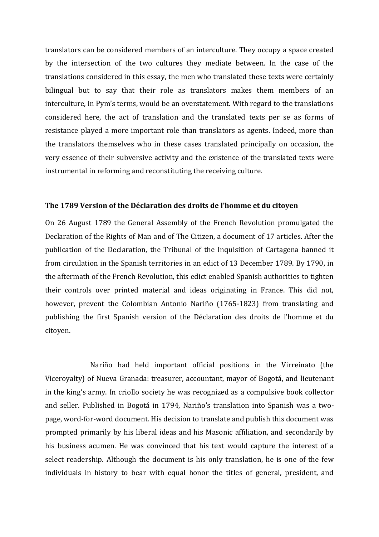translators can be considered members of an interculture. They occupy a space created by the intersection of the two cultures they mediate between. In the case of the translations considered in this essay, the men who translated these texts were certainly bilingual but to say that their role as translators makes them members of an interculture, in Pym's terms, would be an overstatement. With regard to the translations considered here, the act of translation and the translated texts per se as forms of resistance played a more important role than translators as agents. Indeed, more than the translators themselves who in these cases translated principally on occasion, the very essence of their subversive activity and the existence of the translated texts were instrumental in reforming and reconstituting the receiving culture.

## **The 1789 Version of the Déclaration des droits de l'homme et du citoyen**

On 26 August 1789 the General Assembly of the French Revolution promulgated the Declaration of the Rights of Man and of The Citizen, a document of 17 articles. After the publication of the Declaration, the Tribunal of the Inquisition of Cartagena banned it from circulation in the Spanish territories in an edict of 13 December 1789. By 1790, in the aftermath of the French Revolution, this edict enabled Spanish authorities to tighten their controls over printed material and ideas originating in France. This did not, however, prevent the Colombian Antonio Nariño (1765-1823) from translating and publishing the first Spanish version of the Déclaration des droits de l'homme et du citoyen.

Nariño had held important official positions in the Virreinato (the Viceroyalty) of Nueva Granada: treasurer, accountant, mayor of Bogotá, and lieutenant in the king's army. In criollo society he was recognized as a compulsive book collector and seller. Published in Bogotá in 1794, Nariño's translation into Spanish was a twopage, word-for-word document. His decision to translate and publish this document was prompted primarily by his liberal ideas and his Masonic affiliation, and secondarily by his business acumen. He was convinced that his text would capture the interest of a select readership. Although the document is his only translation, he is one of the few individuals in history to bear with equal honor the titles of general, president, and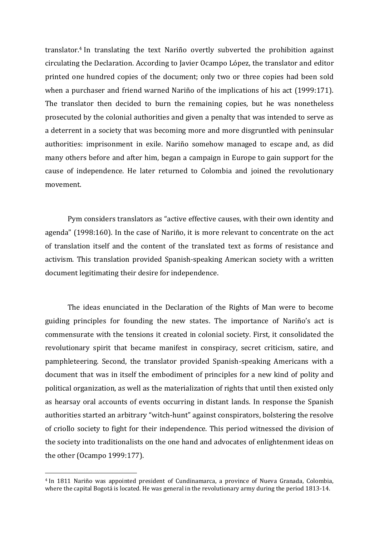translator.<sup>4</sup> In translating the text Nariño overtly subverted the prohibition against circulating the Declaration. According to Javier Ocampo López, the translator and editor printed one hundred copies of the document; only two or three copies had been sold when a purchaser and friend warned Nariño of the implications of his act (1999:171). The translator then decided to burn the remaining copies, but he was nonetheless prosecuted by the colonial authorities and given a penalty that was intended to serve as a deterrent in a society that was becoming more and more disgruntled with peninsular authorities: imprisonment in exile. Nariño somehow managed to escape and, as did many others before and after him, began a campaign in Europe to gain support for the cause of independence. He later returned to Colombia and joined the revolutionary movement.

Pym considers translators as "active effective causes, with their own identity and agenda" (1998:160). In the case of Nariño, it is more relevant to concentrate on the act of translation itself and the content of the translated text as forms of resistance and activism. This translation provided Spanish-speaking American society with a written document legitimating their desire for independence.

The ideas enunciated in the Declaration of the Rights of Man were to become guiding principles for founding the new states. The importance of Nariño's act is commensurate with the tensions it created in colonial society. First, it consolidated the revolutionary spirit that became manifest in conspiracy, secret criticism, satire, and pamphleteering. Second, the translator provided Spanish-speaking Americans with a document that was in itself the embodiment of principles for a new kind of polity and political organization, as well as the materialization of rights that until then existed only as hearsay oral accounts of events occurring in distant lands. In response the Spanish authorities started an arbitrary "witch-hunt" against conspirators, bolstering the resolve of criollo society to fight for their independence. This period witnessed the division of the society into traditionalists on the one hand and advocates of enlightenment ideas on the other (Ocampo 1999:177).

<sup>4</sup> In 1811 Nariño was appointed president of Cundinamarca, a province of Nueva Granada, Colombia, where the capital Bogotá is located. He was general in the revolutionary army during the period 1813-14.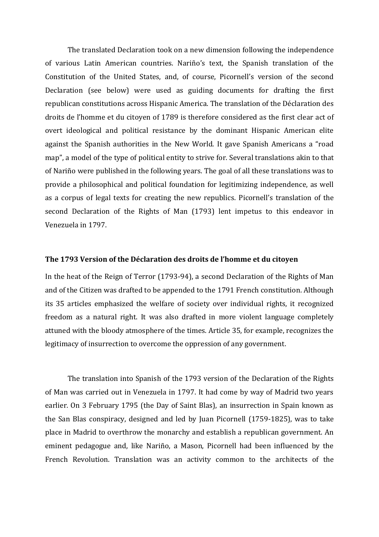The translated Declaration took on a new dimension following the independence of various Latin American countries. Nariño's text, the Spanish translation of the Constitution of the United States, and, of course, Picornell's version of the second Declaration (see below) were used as guiding documents for drafting the first republican constitutions across Hispanic America. The translation of the Déclaration des droits de l'homme et du citoyen of 1789 is therefore considered as the first clear act of overt ideological and political resistance by the dominant Hispanic American elite against the Spanish authorities in the New World. It gave Spanish Americans a "road map", a model of the type of political entity to strive for. Several translations akin to that of Nariño were published in the following years. The goal of all these translations was to provide a philosophical and political foundation for legitimizing independence, as well as a corpus of legal texts for creating the new republics. Picornell's translation of the second Declaration of the Rights of Man (1793) lent impetus to this endeavor in Venezuela in 1797.

#### **The 1793 Version of the Déclaration des droits de l'homme et du citoyen**

In the heat of the Reign of Terror (1793-94), a second Declaration of the Rights of Man and of the Citizen was drafted to be appended to the 1791 French constitution. Although its 35 articles emphasized the welfare of society over individual rights, it recognized freedom as a natural right. It was also drafted in more violent language completely attuned with the bloody atmosphere of the times. Article 35, for example, recognizes the legitimacy of insurrection to overcome the oppression of any government.

The translation into Spanish of the 1793 version of the Declaration of the Rights of Man was carried out in Venezuela in 1797. It had come by way of Madrid two years earlier. On 3 February 1795 (the Day of Saint Blas), an insurrection in Spain known as the San Blas conspiracy, designed and led by Juan Picornell (1759-1825), was to take place in Madrid to overthrow the monarchy and establish a republican government. An eminent pedagogue and, like Nariño, a Mason, Picornell had been influenced by the French Revolution. Translation was an activity common to the architects of the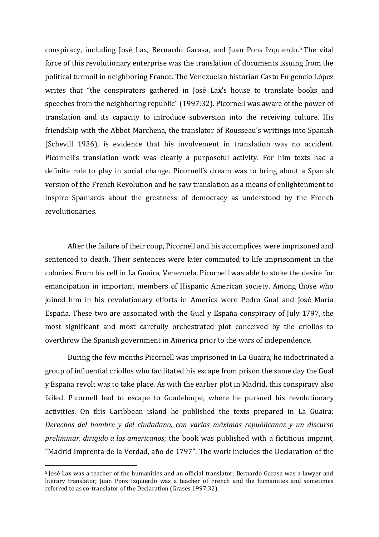conspiracy, including José Lax, Bernardo Garasa, and Juan Pons Izquierdo.<sup>5</sup> The vital force of this revolutionary enterprise was the translation of documents issuing from the political turmoil in neighboring France. The Venezuelan historian Casto Fulgencio López writes that "the conspirators gathered in José Lax's house to translate books and speeches from the neighboring republic" (1997:32). Picornell was aware of the power of translation and its capacity to introduce subversion into the receiving culture. His friendship with the Abbot Marchena, the translator of Rousseau's writings into Spanish (Schevill 1936), is evidence that his involvement in translation was no accident. Picornell's translation work was clearly a purposeful activity. For him texts had a definite role to play in social change. Picornell's dream was to bring about a Spanish version of the French Revolution and he saw translation as a means of enlightenment to inspire Spaniards about the greatness of democracy as understood by the French revolutionaries.

After the failure of their coup, Picornell and his accomplices were imprisoned and sentenced to death. Their sentences were later commuted to life imprisonment in the colonies. From his cell in La Guaira, Venezuela, Picornell was able to stoke the desire for emancipation in important members of Hispanic American society. Among those who joined him in his revolutionary efforts in America were Pedro Gual and José María España. These two are associated with the Gual y España conspiracy of July 1797, the most significant and most carefully orchestrated plot conceived by the criollos to overthrow the Spanish government in America prior to the wars of independence.

During the few months Picornell was imprisoned in La Guaira, he indoctrinated a group of influential criollos who facilitated his escape from prison the same day the Gual y España revolt was to take place. As with the earlier plot in Madrid, this conspiracy also failed. Picornell had to escape to Guadeloupe, where he pursued his revolutionary activities. On this Caribbean island he published the texts prepared in La Guaira: *Derechos del hombre y del ciudadano, con varias máximas republicanas y un discurso preliminar, dirigido a los americanos*; the book was published with a fictitious imprint, "Madrid Imprenta de la Verdad, año de 1797". The work includes the Declaration of the

<sup>5</sup> José Lax was a teacher of the humanities and an official translator; Bernardo Garasa was a lawyer and literary translator; Juan Ponz Izquierdo was a teacher of French and the humanities and sometimes referred to as co-translator of the Declaration (Grases 1997:32).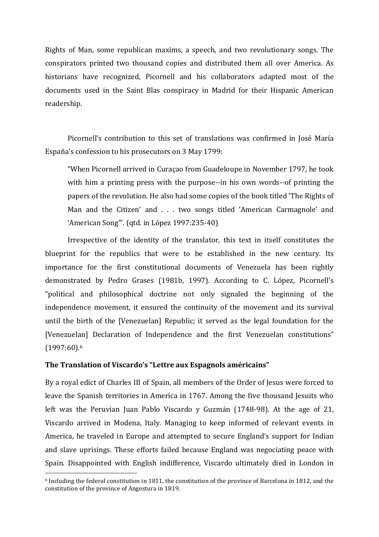Rights of Man, some republican maxims, a speech, and two revolutionary songs. The conspirators printed two thousand copies and distributed them all over America. As historians have recognized, Picornell and his collaborators adapted most of the documents used in the Saint Blas conspiracy in Madrid for their Hispanic American readership.

Picornell's contribution to this set of translations was confirmed in José María España's confession to his prosecutors on 3 May 1799:

"When Picornell arrived in Curaçao from Guadeloupe in November 1797, he took with him a printing press with the purpose--in his own words--of printing the papers of the revolution. He also had some copies of the book titled 'The Rights of Man and the Citizen' and . . . two songs titled 'American Carmagnole' and 'American Song'". (qtd. in López 1997:235-40)

Irrespective of the identity of the translator, this text in itself constitutes the blueprint for the republics that were to be established in the new century. Its importance for the first constitutional documents of Venezuela has been rightly demonstrated by Pedro Grases (1981b, 1997). According to C. López, Picornell's "political and philosophical doctrine not only signaled the beginning of the independence movement, it ensured the continuity of the movement and its survival until the birth of the [Venezuelan] Republic; it served as the legal foundation for the [Venezuelan] Declaration of Independence and the first Venezuelan constitutions"  $(1997:60).$ <sup>6</sup>

## **The Translation of Viscardo's "Lettre aux Espagnols américains"**

 $\overline{a}$ 

By a royal edict of Charles III of Spain, all members of the Order of Jesus were forced to leave the Spanish territories in America in 1767. Among the five thousand Jesuits who left was the Peruvian Juan Pablo Viscardo y Guzmán (1748-98). At the age of 21, Viscardo arrived in Modena, Italy. Managing to keep informed of relevant events in America, he traveled in Europe and attempted to secure England's support for Indian and slave uprisings. These efforts failed because England was negociating peace with Spain. Disappointed with English indifference, Viscardo ultimately died in London in

<sup>6</sup> Including the federal constitution in 1811, the constitution of the province of Barcelona in 1812, and the constitution of the province of Angostura in 1819.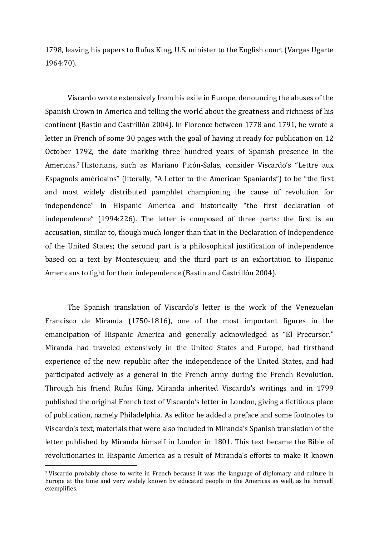1798, leaving his papers to Rufus King, U.S. minister to the English court (Vargas Ugarte 1964:70).

Viscardo wrote extensively from his exile in Europe, denouncing the abuses of the Spanish Crown in America and telling the world about the greatness and richness of his continent (Bastin and Castrillón 2004). In Florence between 1778 and 1791, he wrote a letter in French of some 30 pages with the goal of having it ready for publication on 12 October 1792, the date marking three hundred years of Spanish presence in the Americas.<sup>7</sup> Historians, such as Mariano Picón-Salas, consider Viscardo's "Lettre aux Espagnols américains" (literally, "A Letter to the American Spaniards") to be "the first and most widely distributed pamphlet championing the cause of revolution for independence" in Hispanic America and historically "the first declaration of independence" (1994:226). The letter is composed of three parts: the first is an accusation, similar to, though much longer than that in the Declaration of Independence of the United States; the second part is a philosophical justification of independence based on a text by Montesquieu; and the third part is an exhortation to Hispanic Americans to fight for their independence (Bastin and Castrillón 2004).

The Spanish translation of Viscardo's letter is the work of the Venezuelan Francisco de Miranda (1750-1816), one of the most important figures in the emancipation of Hispanic America and generally acknowledged as "El Precursor." Miranda had traveled extensively in the United States and Europe, had firsthand experience of the new republic after the independence of the United States, and had participated actively as a general in the French army during the French Revolution. Through his friend Rufus King, Miranda inherited Viscardo's writings and in 1799 published the original French text of Viscardo's letter in London, giving a fictitious place of publication, namely Philadelphia. As editor he added a preface and some footnotes to Viscardo's text, materials that were also included in Miranda's Spanish translation of the letter published by Miranda himself in London in 1801. This text became the Bible of revolutionaries in Hispanic America as a result of Miranda's efforts to make it known

<sup>7</sup> Viscardo probably chose to write in French because it was the language of diplomacy and culture in Europe at the time and very widely known by educated people in the Americas as well, as he himself exemplifies.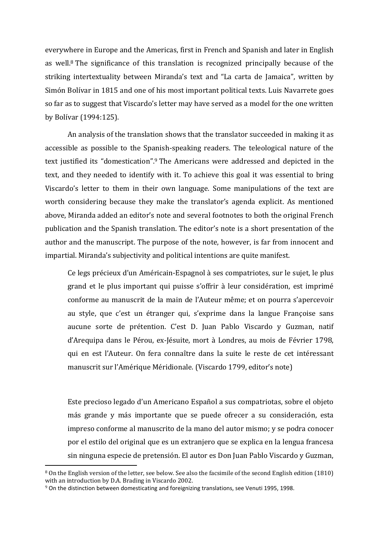everywhere in Europe and the Americas, first in French and Spanish and later in English as well.<sup>8</sup> The significance of this translation is recognized principally because of the striking intertextuality between Miranda's text and "La carta de Jamaica", written by Simón Bolívar in 1815 and one of his most important political texts. Luis Navarrete goes so far as to suggest that Viscardo's letter may have served as a model for the one written by Bolívar (1994:125).

An analysis of the translation shows that the translator succeeded in making it as accessible as possible to the Spanish-speaking readers. The teleological nature of the text justified its "domestication".<sup>9</sup> The Americans were addressed and depicted in the text, and they needed to identify with it. To achieve this goal it was essential to bring Viscardo's letter to them in their own language. Some manipulations of the text are worth considering because they make the translator's agenda explicit. As mentioned above, Miranda added an editor's note and several footnotes to both the original French publication and the Spanish translation. The editor's note is a short presentation of the author and the manuscript. The purpose of the note, however, is far from innocent and impartial. Miranda's subjectivity and political intentions are quite manifest.

Ce legs précieux d'un Américain-Espagnol à ses compatriotes, sur le sujet, le plus grand et le plus important qui puisse s'offrir à leur considération, est imprimé conforme au manuscrit de la main de l'Auteur même; et on pourra s'apercevoir au style, que c'est un étranger qui, s'exprime dans la langue Françoise sans aucune sorte de prétention. C'est D. Juan Pablo Viscardo y Guzman, natif d'Arequipa dans le Pérou, ex-Jésuite, mort à Londres, au mois de Février 1798, qui en est l'Auteur. On fera connaître dans la suite le reste de cet intéressant manuscrit sur l'Amérique Méridionale. (Viscardo 1799, editor's note)

Este precioso legado d'un Americano Español a sus compatriotas, sobre el objeto más grande y más importante que se puede ofrecer a su consideración, esta impreso conforme al manuscrito de la mano del autor mismo; y se podra conocer por el estilo del original que es un extranjero que se explica en la lengua francesa sin ninguna especie de pretensión. El autor es Don Juan Pablo Viscardo y Guzman,

<sup>8</sup> On the English version of the letter, see below. See also the facsimile of the second English edition (1810) with an introduction by D.A. Brading in Viscardo 2002.

<sup>9</sup> On the distinction between domesticating and foreignizing translations, see Venuti 1995, 1998.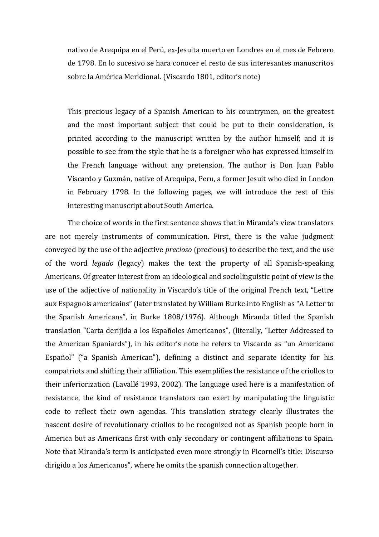nativo de Arequipa en el Perú, ex-Jesuita muerto en Londres en el mes de Febrero de 1798. En lo sucesivo se hara conocer el resto de sus interesantes manuscritos sobre la América Meridional. (Viscardo 1801, editor's note)

This precious legacy of a Spanish American to his countrymen, on the greatest and the most important subject that could be put to their consideration, is printed according to the manuscript written by the author himself; and it is possible to see from the style that he is a foreigner who has expressed himself in the French language without any pretension. The author is Don Juan Pablo Viscardo y Guzmán, native of Arequipa, Peru, a former Jesuit who died in London in February 1798. In the following pages, we will introduce the rest of this interesting manuscript about South America.

The choice of words in the first sentence shows that in Miranda's view translators are not merely instruments of communication. First, there is the value judgment conveyed by the use of the adjective *precioso* (precious) to describe the text, and the use of the word *legado* (legacy) makes the text the property of all Spanish-speaking Americans. Of greater interest from an ideological and sociolinguistic point of view is the use of the adjective of nationality in Viscardo's title of the original French text, "Lettre aux Espagnols americains" (later translated by William Burke into English as "A Letter to the Spanish Americans", in Burke 1808/1976). Although Miranda titled the Spanish translation "Carta derijida a los Españoles Americanos", (literally, "Letter Addressed to the American Spaniards"), in his editor's note he refers to Viscardo as "un Americano Español" ("a Spanish American"), defining a distinct and separate identity for his compatriots and shifting their affiliation. This exemplifies the resistance of the criollos to their inferiorization (Lavallé 1993, 2002). The language used here is a manifestation of resistance, the kind of resistance translators can exert by manipulating the linguistic code to reflect their own agendas. This translation strategy clearly illustrates the nascent desire of revolutionary criollos to be recognized not as Spanish people born in America but as Americans first with only secondary or contingent affiliations to Spain. Note that Miranda's term is anticipated even more strongly in Picornell's title: Discurso dirigido a los Americanos", where he omits the spanish connection altogether.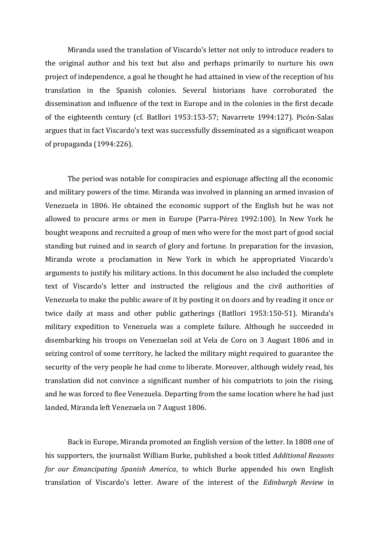Miranda used the translation of Viscardo's letter not only to introduce readers to the original author and his text but also and perhaps primarily to nurture his own project of independence, a goal he thought he had attained in view of the reception of his translation in the Spanish colonies. Several historians have corroborated the dissemination and influence of the text in Europe and in the colonies in the first decade of the eighteenth century (cf. Batllori 1953:153-57; Navarrete 1994:127). Picón-Salas argues that in fact Viscardo's text was successfully disseminated as a significant weapon of propaganda (1994:226).

The period was notable for conspiracies and espionage affecting all the economic and military powers of the time. Miranda was involved in planning an armed invasion of Venezuela in 1806. He obtained the economic support of the English but he was not allowed to procure arms or men in Europe (Parra-Pérez 1992:100). In New York he bought weapons and recruited a group of men who were for the most part of good social standing but ruined and in search of glory and fortune. In preparation for the invasion, Miranda wrote a proclamation in New York in which he appropriated Viscardo's arguments to justify his military actions. In this document he also included the complete text of Viscardo's letter and instructed the religious and the civil authorities of Venezuela to make the public aware of it by posting it on doors and by reading it once or twice daily at mass and other public gatherings (Batllori 1953:150-51). Miranda's military expedition to Venezuela was a complete failure. Although he succeeded in disembarking his troops on Venezuelan soil at Vela de Coro on 3 August 1806 and in seizing control of some territory, he lacked the military might required to guarantee the security of the very people he had come to liberate. Moreover, although widely read, his translation did not convince a significant number of his compatriots to join the rising, and he was forced to flee Venezuela. Departing from the same location where he had just landed, Miranda left Venezuela on 7 August 1806.

Back in Europe, Miranda promoted an English version of the letter. In 1808 one of his supporters, the journalist William Burke, published a book titled *Additional Reasons for our Emancipating Spanish America*, to which Burke appended his own English translation of Viscardo's letter. Aware of the interest of the *Edinburgh Review* in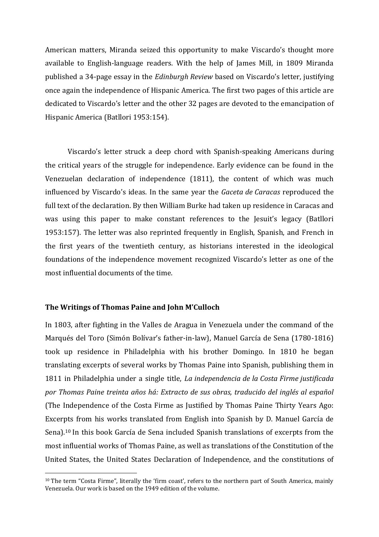American matters, Miranda seized this opportunity to make Viscardo's thought more available to English-language readers. With the help of James Mill, in 1809 Miranda published a 34-page essay in the *Edinburgh Review* based on Viscardo's letter, justifying once again the independence of Hispanic America. The first two pages of this article are dedicated to Viscardo's letter and the other 32 pages are devoted to the emancipation of Hispanic America (Batllori 1953:154).

Viscardo's letter struck a deep chord with Spanish-speaking Americans during the critical years of the struggle for independence. Early evidence can be found in the Venezuelan declaration of independence (1811), the content of which was much influenced by Viscardo's ideas. In the same year the *Gaceta de Caracas* reproduced the full text of the declaration. By then William Burke had taken up residence in Caracas and was using this paper to make constant references to the Jesuit's legacy (Batllori 1953:157). The letter was also reprinted frequently in English, Spanish, and French in the first years of the twentieth century, as historians interested in the ideological foundations of the independence movement recognized Viscardo's letter as one of the most influential documents of the time.

## **The Writings of Thomas Paine and John M'Culloch**

 $\overline{a}$ 

In 1803, after fighting in the Valles de Aragua in Venezuela under the command of the Marqués del Toro (Simón Bolívar's father-in-law), Manuel García de Sena (1780-1816) took up residence in Philadelphia with his brother Domingo. In 1810 he began translating excerpts of several works by Thomas Paine into Spanish, publishing them in 1811 in Philadelphia under a single title, *La independencia de la Costa Firme justificada por Thomas Paine treinta años há: Extracto de sus obras, traducido del inglés al español* (The Independence of the Costa Firme as Justified by Thomas Paine Thirty Years Ago: Excerpts from his works translated from English into Spanish by D. Manuel García de Sena).<sup>10</sup> In this book García de Sena included Spanish translations of excerpts from the most influential works of Thomas Paine, as well as translations of the Constitution of the United States, the United States Declaration of Independence, and the constitutions of

<sup>10</sup> The term "Costa Firme", literally the 'firm coast', refers to the northern part of South America, mainly Venezuela. Our work is based on the 1949 edition of the volume.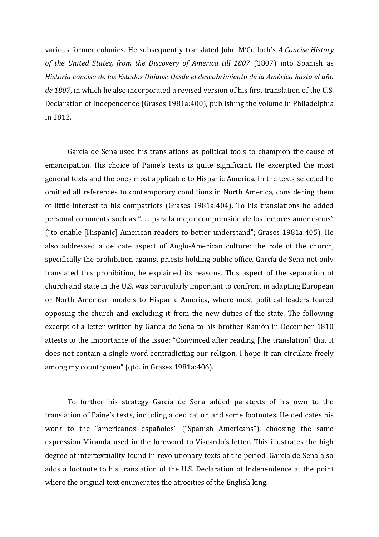various former colonies. He subsequently translated John M'Culloch's *A Concise History of the United States, from the Discovery of America till 1807* (1807) into Spanish as *Historia concisa de los Estados Unidos: Desde el descubrimiento de la América hasta el año de 1807*, in which he also incorporated a revised version of his first translation of the U.S. Declaration of Independence (Grases 1981a:400), publishing the volume in Philadelphia in 1812.

García de Sena used his translations as political tools to champion the cause of emancipation. His choice of Paine's texts is quite significant. He excerpted the most general texts and the ones most applicable to Hispanic America. In the texts selected he omitted all references to contemporary conditions in North America, considering them of little interest to his compatriots (Grases 1981a:404). To his translations he added personal comments such as ". . . para la mejor comprensión de los lectores americanos" ("to enable [Hispanic] American readers to better understand"; Grases 1981a:405). He also addressed a delicate aspect of Anglo-American culture: the role of the church, specifically the prohibition against priests holding public office. García de Sena not only translated this prohibition, he explained its reasons. This aspect of the separation of church and state in the U.S. was particularly important to confront in adapting European or North American models to Hispanic America, where most political leaders feared opposing the church and excluding it from the new duties of the state. The following excerpt of a letter written by García de Sena to his brother Ramón in December 1810 attests to the importance of the issue: "Convinced after reading [the translation] that it does not contain a single word contradicting our religion, I hope it can circulate freely among my countrymen" (qtd. in Grases 1981a:406).

To further his strategy García de Sena added paratexts of his own to the translation of Paine's texts, including a dedication and some footnotes. He dedicates his work to the "americanos españoles" ("Spanish Americans"), choosing the same expression Miranda used in the foreword to Viscardo's letter. This illustrates the high degree of intertextuality found in revolutionary texts of the period. García de Sena also adds a footnote to his translation of the U.S. Declaration of Independence at the point where the original text enumerates the atrocities of the English king: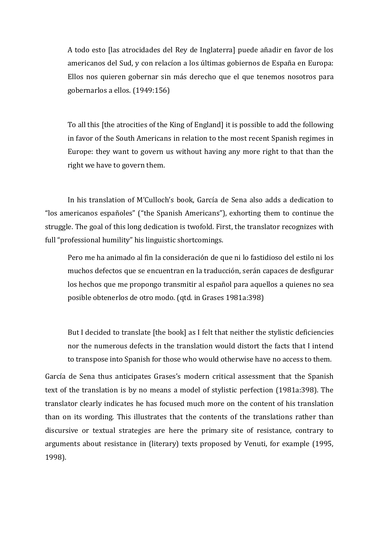A todo esto [las atrocidades del Rey de Inglaterra] puede añadir en favor de los americanos del Sud, y con relacíon a los últimas gobiernos de España en Europa: Ellos nos quieren gobernar sin más derecho que el que tenemos nosotros para gobernarlos a ellos. (1949:156)

To all this [the atrocities of the King of England] it is possible to add the following in favor of the South Americans in relation to the most recent Spanish regimes in Europe: they want to govern us without having any more right to that than the right we have to govern them.

In his translation of M'Culloch's book, García de Sena also adds a dedication to "los americanos españoles" ("the Spanish Americans"), exhorting them to continue the struggle. The goal of this long dedication is twofold. First, the translator recognizes with full "professional humility" his linguistic shortcomings.

Pero me ha animado al fin la consideración de que ni lo fastidioso del estilo ni los muchos defectos que se encuentran en la traducción, serán capaces de desfigurar los hechos que me propongo transmitir al español para aquellos a quienes no sea posible obtenerlos de otro modo. (qtd. in Grases 1981a:398)

But I decided to translate [the book] as I felt that neither the stylistic deficiencies nor the numerous defects in the translation would distort the facts that I intend to transpose into Spanish for those who would otherwise have no access to them.

García de Sena thus anticipates Grases's modern critical assessment that the Spanish text of the translation is by no means a model of stylistic perfection (1981a:398). The translator clearly indicates he has focused much more on the content of his translation than on its wording. This illustrates that the contents of the translations rather than discursive or textual strategies are here the primary site of resistance, contrary to arguments about resistance in (literary) texts proposed by Venuti, for example (1995, 1998).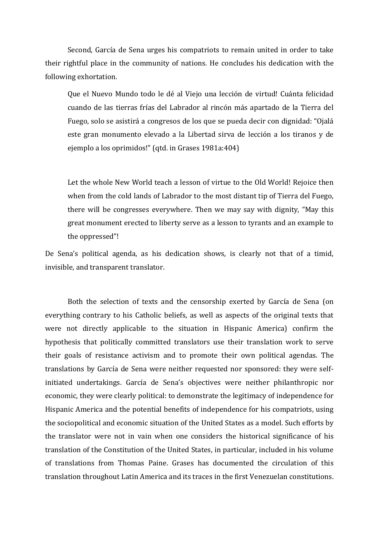Second, García de Sena urges his compatriots to remain united in order to take their rightful place in the community of nations. He concludes his dedication with the following exhortation.

Que el Nuevo Mundo todo le dé al Viejo una lección de virtud! Cuánta felicidad cuando de las tierras frías del Labrador al rincón más apartado de la Tierra del Fuego, solo se asistirá a congresos de los que se pueda decir con dignidad: "Ojalá este gran monumento elevado a la Libertad sirva de lección a los tiranos y de ejemplo a los oprimidos!" (qtd. in Grases 1981a:404)

Let the whole New World teach a lesson of virtue to the Old World! Rejoice then when from the cold lands of Labrador to the most distant tip of Tierra del Fuego, there will be congresses everywhere. Then we may say with dignity, "May this great monument erected to liberty serve as a lesson to tyrants and an example to the oppressed"!

De Sena's political agenda, as his dedication shows, is clearly not that of a timid, invisible, and transparent translator.

Both the selection of texts and the censorship exerted by García de Sena (on everything contrary to his Catholic beliefs, as well as aspects of the original texts that were not directly applicable to the situation in Hispanic America) confirm the hypothesis that politically committed translators use their translation work to serve their goals of resistance activism and to promote their own political agendas. The translations by García de Sena were neither requested nor sponsored: they were selfinitiated undertakings. García de Sena's objectives were neither philanthropic nor economic, they were clearly political: to demonstrate the legitimacy of independence for Hispanic America and the potential benefits of independence for his compatriots, using the sociopolitical and economic situation of the United States as a model. Such efforts by the translator were not in vain when one considers the historical significance of his translation of the Constitution of the United States, in particular, included in his volume of translations from Thomas Paine. Grases has documented the circulation of this translation throughout Latin America and its traces in the first Venezuelan constitutions.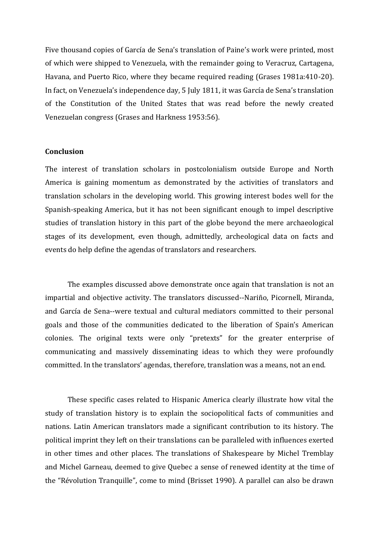Five thousand copies of García de Sena's translation of Paine's work were printed, most of which were shipped to Venezuela, with the remainder going to Veracruz, Cartagena, Havana, and Puerto Rico, where they became required reading (Grases 1981a:410-20). In fact, on Venezuela's independence day, 5 July 1811, it was García de Sena's translation of the Constitution of the United States that was read before the newly created Venezuelan congress (Grases and Harkness 1953:56).

## **Conclusion**

The interest of translation scholars in postcolonialism outside Europe and North America is gaining momentum as demonstrated by the activities of translators and translation scholars in the developing world. This growing interest bodes well for the Spanish-speaking America, but it has not been significant enough to impel descriptive studies of translation history in this part of the globe beyond the mere archaeological stages of its development, even though, admittedly, archeological data on facts and events do help define the agendas of translators and researchers.

The examples discussed above demonstrate once again that translation is not an impartial and objective activity. The translators discussed--Nariño, Picornell, Miranda, and García de Sena--were textual and cultural mediators committed to their personal goals and those of the communities dedicated to the liberation of Spain's American colonies. The original texts were only "pretexts" for the greater enterprise of communicating and massively disseminating ideas to which they were profoundly committed. In the translators' agendas, therefore, translation was a means, not an end.

These specific cases related to Hispanic America clearly illustrate how vital the study of translation history is to explain the sociopolitical facts of communities and nations. Latin American translators made a significant contribution to its history. The political imprint they left on their translations can be paralleled with influences exerted in other times and other places. The translations of Shakespeare by Michel Tremblay and Michel Garneau, deemed to give Quebec a sense of renewed identity at the time of the "Révolution Tranquille", come to mind (Brisset 1990). A parallel can also be drawn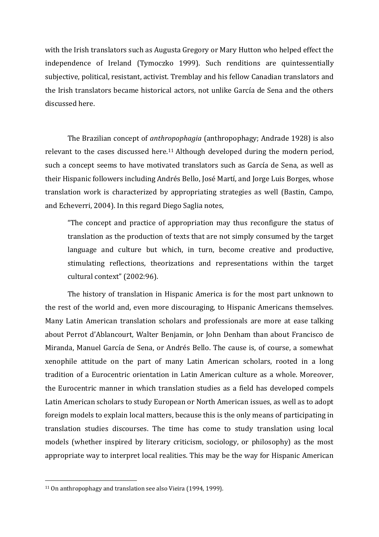with the Irish translators such as Augusta Gregory or Mary Hutton who helped effect the independence of Ireland (Tymoczko 1999). Such renditions are quintessentially subjective, political, resistant, activist. Tremblay and his fellow Canadian translators and the Irish translators became historical actors, not unlike García de Sena and the others discussed here.

The Brazilian concept of *anthropophagia* (anthropophagy; Andrade 1928) is also relevant to the cases discussed here.<sup>11</sup> Although developed during the modern period, such a concept seems to have motivated translators such as García de Sena, as well as their Hispanic followers including Andrés Bello, José Martí, and Jorge Luis Borges, whose translation work is characterized by appropriating strategies as well (Bastin, Campo, and Echeverri, 2004). In this regard Diego Saglia notes,

"The concept and practice of appropriation may thus reconfigure the status of translation as the production of texts that are not simply consumed by the target language and culture but which, in turn, become creative and productive, stimulating reflections, theorizations and representations within the target cultural context" (2002:96).

The history of translation in Hispanic America is for the most part unknown to the rest of the world and, even more discouraging, to Hispanic Americans themselves. Many Latin American translation scholars and professionals are more at ease talking about Perrot d'Ablancourt, Walter Benjamin, or John Denham than about Francisco de Miranda, Manuel García de Sena, or Andrés Bello. The cause is, of course, a somewhat xenophile attitude on the part of many Latin American scholars, rooted in a long tradition of a Eurocentric orientation in Latin American culture as a whole. Moreover, the Eurocentric manner in which translation studies as a field has developed compels Latin American scholars to study European or North American issues, as well as to adopt foreign models to explain local matters, because this is the only means of participating in translation studies discourses. The time has come to study translation using local models (whether inspired by literary criticism, sociology, or philosophy) as the most appropriate way to interpret local realities. This may be the way for Hispanic American

<sup>11</sup> On anthropophagy and translation see also Vieira (1994, 1999).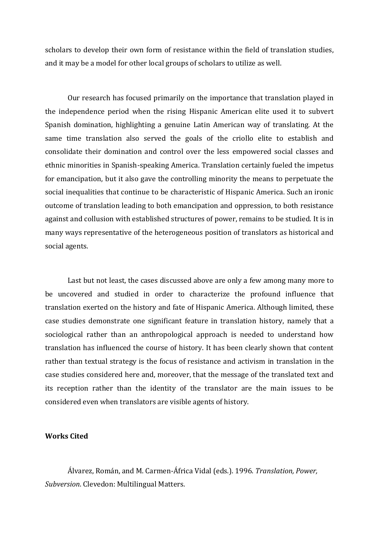scholars to develop their own form of resistance within the field of translation studies, and it may be a model for other local groups of scholars to utilize as well.

Our research has focused primarily on the importance that translation played in the independence period when the rising Hispanic American elite used it to subvert Spanish domination, highlighting a genuine Latin American way of translating. At the same time translation also served the goals of the criollo elite to establish and consolidate their domination and control over the less empowered social classes and ethnic minorities in Spanish-speaking America. Translation certainly fueled the impetus for emancipation, but it also gave the controlling minority the means to perpetuate the social inequalities that continue to be characteristic of Hispanic America. Such an ironic outcome of translation leading to both emancipation and oppression, to both resistance against and collusion with established structures of power, remains to be studied. It is in many ways representative of the heterogeneous position of translators as historical and social agents.

Last but not least, the cases discussed above are only a few among many more to be uncovered and studied in order to characterize the profound influence that translation exerted on the history and fate of Hispanic America. Although limited, these case studies demonstrate one significant feature in translation history, namely that a sociological rather than an anthropological approach is needed to understand how translation has influenced the course of history. It has been clearly shown that content rather than textual strategy is the focus of resistance and activism in translation in the case studies considered here and, moreover, that the message of the translated text and its reception rather than the identity of the translator are the main issues to be considered even when translators are visible agents of history.

## **Works Cited**

Álvarez, Román, and M. Carmen-África Vidal (eds.). 1996. *Translation, Power, Subversion*. Clevedon: Multilingual Matters.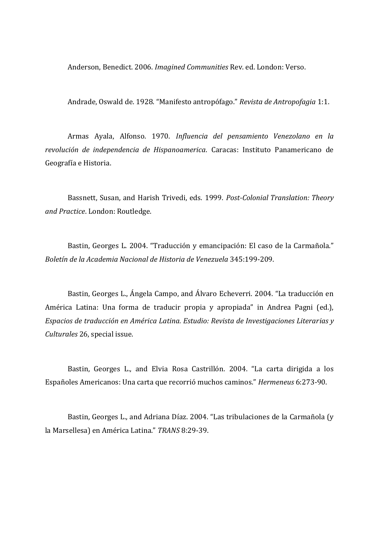Anderson, Benedict. 2006. *Imagined Communities* Rev. ed. London: Verso.

Andrade, Oswald de. 1928. "Manifesto antropófago." *Revista de Antropofagia* 1:1.

Armas Ayala, Alfonso. 1970. *Influencia del pensamiento Venezolano en la revolución de independencia de Hispanoamerica*. Caracas: Instituto Panamericano de Geografía e Historia.

Bassnett, Susan, and Harish Trivedi, eds. 1999. *Post-Colonial Translation: Theory and Practice*. London: Routledge.

Bastin, Georges L. 2004. "Traducción y emancipación: El caso de la Carmañola." *Boletín de la Academia Nacional de Historia de Venezuela* 345:199-209.

Bastin, Georges L., Ángela Campo, and Álvaro Echeverri. 2004. "La traducción en América Latina: Una forma de traducir propia y apropiada" in Andrea Pagni (ed.), *Espacios de traducción en América Latina. Estudio: Revista de Investigaciones Literarias y Culturales* 26, special issue.

Bastin, Georges L., and Elvia Rosa Castrillón. 2004. "La carta dirigida a los Españoles Americanos: Una carta que recorrió muchos caminos." *Hermeneus* 6:273-90.

Bastin, Georges L., and Adriana Díaz. 2004. "Las tribulaciones de la Carmañola (y la Marsellesa) en América Latina." *TRANS* 8:29-39.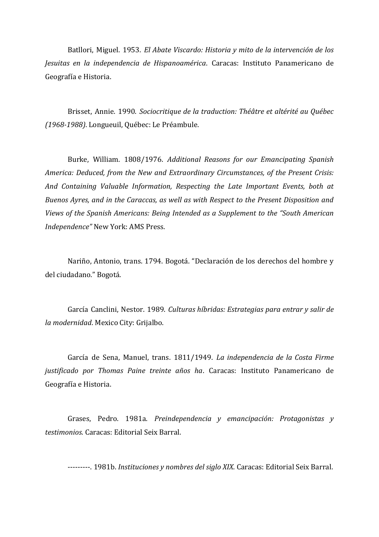Batllori, Miguel. 1953. *El Abate Viscardo: Historia y mito de la intervención de los Jesuitas en la independencia de Hispanoamérica*. Caracas: Instituto Panamericano de Geografía e Historia.

Brisset, Annie. 1990. *Sociocritique de la traduction: Théâtre et altérité au Québec (1968-1988)*. Longueuil, Québec: Le Préambule.

Burke, William. 1808/1976. *Additional Reasons for our Emancipating Spanish America: Deduced, from the New and Extraordinary Circumstances, of the Present Crisis: And Containing Valuable Information, Respecting the Late Important Events, both at Buenos Ayres, and in the Caraccas, as well as with Respect to the Present Disposition and Views of the Spanish Americans: Being Intended as a Supplement to the "South American Independence"* New York: AMS Press.

Nariño, Antonio, trans. 1794. Bogotá. "Declaración de los derechos del hombre y del ciudadano." Bogotá.

García Canclini, Nestor. 1989. *Culturas híbridas: Estrategias para entrar y salir de la modernidad*. Mexico City: Grijalbo.

García de Sena, Manuel, trans. 1811/1949. *La independencia de la Costa Firme justificado por Thomas Paine treinte años ha*. Caracas: Instituto Panamericano de Geografía e Historia.

Grases, Pedro. 1981a. *Preindependencia y emancipación: Protagonistas y testimonios*. Caracas: Editorial Seix Barral.

---------. 1981b. *Instituciones y nombres del siglo XIX*. Caracas: Editorial Seix Barral.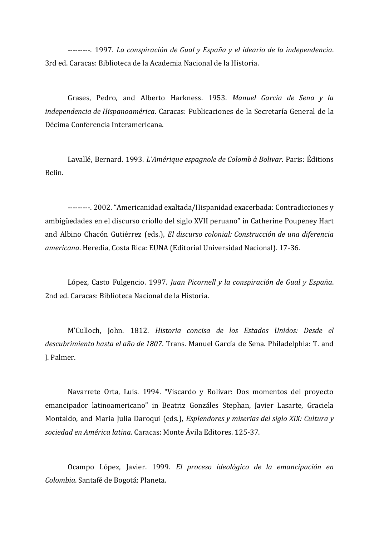---------. 1997. *La conspiración de Gual y España y el ideario de la independencia*. 3rd ed. Caracas: Biblioteca de la Academia Nacional de la Historia.

Grases, Pedro, and Alberto Harkness. 1953. *Manuel García de Sena y la independencia de Hispanoamérica*. Caracas: Publicaciones de la Secretaría General de la Décima Conferencia Interamericana.

Lavallé, Bernard. 1993. *L'Amérique espagnole de Colomb à Bolivar*. Paris: Éditions Belin.

---------. 2002. "Americanidad exaltada/Hispanidad exacerbada: Contradicciones y ambigüedades en el discurso criollo del siglo XVII peruano" in Catherine Poupeney Hart and Albino Chacón Gutiérrez (eds.), *El discurso colonial: Construcción de una diferencia americana*. Heredia, Costa Rica: EUNA (Editorial Universidad Nacional). 17-36.

López, Casto Fulgencio. 1997. *Juan Picornell y la conspiración de Gual y España*. 2nd ed. Caracas: Biblioteca Nacional de la Historia.

M'Culloch, John. 1812. *Historia concisa de los Estados Unidos: Desde el descubrimiento hasta el año de 1807*. Trans. Manuel García de Sena. Philadelphia: T. and J. Palmer.

Navarrete Orta, Luis. 1994. "Viscardo y Bolívar: Dos momentos del proyecto emancipador latinoamericano" in Beatriz Gonzáles Stephan, Javier Lasarte, Graciela Montaldo, and Maria Julia Daroqui (eds.), *Esplendores y miserias del siglo XIX: Cultura y sociedad en América latina*. Caracas: Monte Ávila Editores. 125-37.

Ocampo López, Javier. 1999. *El proceso ideológico de la emancipación en Colombia*. Santafé de Bogotá: Planeta.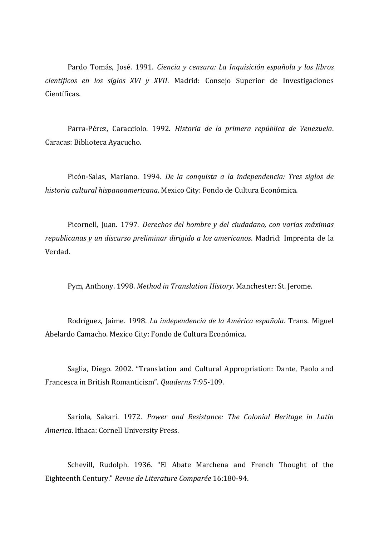Pardo Tomás, José. 1991. *Ciencia y censura: La Inquisición española y los libros científicos en los siglos XVI y XVII*. Madrid: Consejo Superior de Investigaciones Científicas.

Parra-Pérez, Caracciolo. 1992. *Historia de la primera república de Venezuela*. Caracas: Biblioteca Ayacucho.

Picón-Salas, Mariano. 1994. *De la conquista a la independencia: Tres siglos de historia cultural hispanoamericana*. Mexico City: Fondo de Cultura Económica.

Picornell, Juan. 1797. *Derechos del hombre y del ciudadano, con varias máximas republicanas y un discurso preliminar dirigido a los americanos*. Madrid: Imprenta de la Verdad.

Pym, Anthony. 1998. *Method in Translation History*. Manchester: St. Jerome.

Rodríguez, Jaime. 1998. *La independencia de la América española*. Trans. Miguel Abelardo Camacho. Mexico City: Fondo de Cultura Económica.

Saglia, Diego. 2002. "Translation and Cultural Appropriation: Dante, Paolo and Francesca in British Romanticism". *Quaderns* 7:95-109.

Sariola, Sakari. 1972. *Power and Resistance: The Colonial Heritage in Latin America*. Ithaca: Cornell University Press.

Schevill, Rudolph. 1936. "El Abate Marchena and French Thought of the Eighteenth Century." *Revue de Literature Comparée* 16:180-94.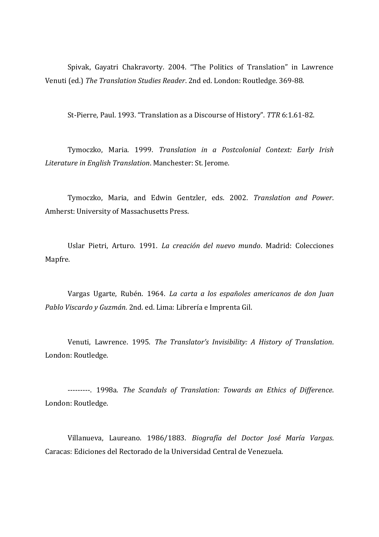Spivak, Gayatri Chakravorty. 2004. "The Politics of Translation" in Lawrence Venuti (ed.) *The Translation Studies Reader*. 2nd ed. London: Routledge. 369-88.

St-Pierre, Paul. 1993. "Translation as a Discourse of History". *TTR* 6:1.61-82.

Tymoczko, Maria. 1999. *Translation in a Postcolonial Context: Early Irish Literature in English Translation*. Manchester: St. Jerome.

Tymoczko, Maria, and Edwin Gentzler, eds. 2002. *Translation and Power*. Amherst: University of Massachusetts Press.

Uslar Pietri, Arturo. 1991. *La creación del nuevo mundo*. Madrid: Colecciones Mapfre.

Vargas Ugarte, Rubén. 1964. *La carta a los españoles americanos de don Juan Pablo Viscardo y Guzmán*. 2nd. ed. Lima: Librería e Imprenta Gil.

Venuti, Lawrence. 1995. *The Translator's Invisibility: A History of Translation*. London: Routledge.

---------. 1998a. *The Scandals of Translation: Towards an Ethics of Difference*. London: Routledge.

Villanueva, Laureano. 1986/1883. *Biografía del Doctor José María Vargas*. Caracas: Ediciones del Rectorado de la Universidad Central de Venezuela.